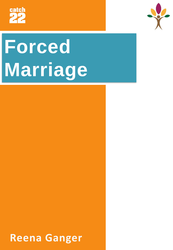



# **Forced Marriage**

**Reena Ganger**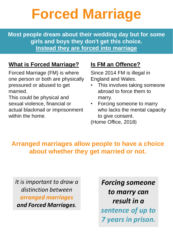# **Forced Marriage**

**Most people dream about their wedding day but for some girls and boys they don't get this choice. Instead they are forced into marriage**

### **What is Forced Marriage?**

Forced Marriage (FM) is where one person or both are physically pressured or abused to get married.

This could be physical and sexual violence, financial or actual blackmail or imprisonment within the home.

### **Is FM an Offence?**

Since 2014 FM is illegal in England and Wales.

- This involves taking someone abroad to force them to marry.
- Forcing someone to marry who lacks the mental capacity to give consent.

(Home Office, 2018)

### **Arranged marriages allow people to have a choice about whether they get married or not.**

*It is important to draw a distinction between arranged marriages and Forced Marriages.*

*Forcing someone to marry can result in a sentence of up to 7 years in prison.*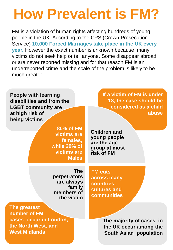# **How Prevalent is FM?**

FM is a violation of human rights affecting hundreds of young people in the UK. According to the CPS (Crown Prosecution Service) **10,000 Forced Marriages take place in the UK every year.** However the exact number is unknown because many victims do not seek help or tell anyone. Some disappear abroad or are never reported missing and for that reason FM is an underreported crime and the scale of the problem is likely to be much greater.

**People with learning disabilities and from the LGBT community are at high risk of being victims**

> **80% of FM victims are females, while 20% of victims are Males**

**If a victim of FM is under 18, the case should be considered as a child abuse**

**Children and young people are the age group at most risk of FM**

**The perpetrators are always family members of the victim**

**The greatest number of FM cases occur in London, the North West, and West Midlands**

**FM cuts across many countries, cultures and communities**

> **The majority of cases in the UK occur among the South Asian population**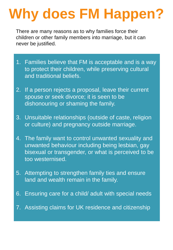# **Why does FM Happen?**

There are many reasons as to why families force their children or other family members into marriage, but it can never be justified.

- 1. Families believe that FM is acceptable and is a way to protect their children, while preserving cultural and traditional beliefs.
- 2. If a person rejects a proposal, leave their current spouse or seek divorce; it is seen to be dishonouring or shaming the family.
- 3. Unsuitable relationships (outside of caste, religion or culture) and pregnancy outside marriage.
- 4. The family want to control unwanted sexuality and unwanted behaviour including being lesbian, gay bisexual or transgender, or what is perceived to be too westernised.
- 5. Attempting to strengthen family ties and ensure land and wealth remain in the family.
- 6. Ensuring care for a child/ adult with special needs
- 7. Assisting claims for UK residence and citizenship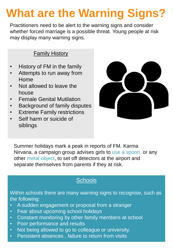### **What are the Warning Signs?**

Practitioners need to be alert to the warning signs and consider whether forced marriage is a possible threat. Young people at risk may display many warning signs.

### **Family History**

- History of FM in the family
- Attempts to run away from Home
- Not allowed to leave the house
- Female Genital Mutilation
- Background of family disputes
- Extreme Family restrictions
- Self harm or suicide of siblings



Summer holidays mark a peak in reports of FM. Karma Nirvana, a campaign group advises girls to use a spoon, or any other metal object, to set off detectors at the airport and separate themselves from parents if they at risk.

### **Schools**

Within schools there are many warning signs to recognise, such as the following:

- A sudden engagement or proposal from a stranger
- Fear about upcoming school holidays
- Constant monitoring by other family members at school
- Poor performance and results
- Not being allowed to go to colleague or university.
- Persistent absences , failure to return from visits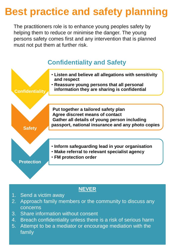### **Best practice and safety planning**

The practitioners role is to enhance young peoples safety by helping them to reduce or minimise the danger. The young persons safety comes first and any intervention that is planned must not put them at further risk.



#### **NEVER**

- 1. Send a victim away
- 2. Approach family members or the community to discuss any concerns
- 3. Share information without consent
- 4. Breach confidentiality unless there is a risk of serious harm
- 5. Attempt to be a mediator or encourage mediation with the family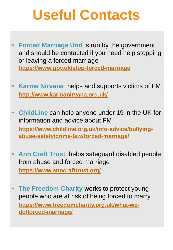# **Useful Contacts**

- **Forced Marriage Unit is run by the government** and should be contacted if you need help stopping or leaving a forced marriage **https://www.gov.uk/stop-forced-marriage**
- **Karma Nirvana** helps and supports victims of FM **http://www.karmanirvana.org.uk/**
- **ChildLine** can help anyone under 19 in the UK for information and advice about FM **https://www.childline.org.uk/info-advice/bullyingabuse-safety/crime-law/forced-marriage/**
- **Ann Craft Trust** helps safeguard disabled people from abuse and forced marriage **https://www.anncrafttrust.org/**
- **The Freedom Charity** works to protect young people who are at risk of being forced to marry **https://www.freedomcharity.org.uk/what-wedo/forced-marriage/**